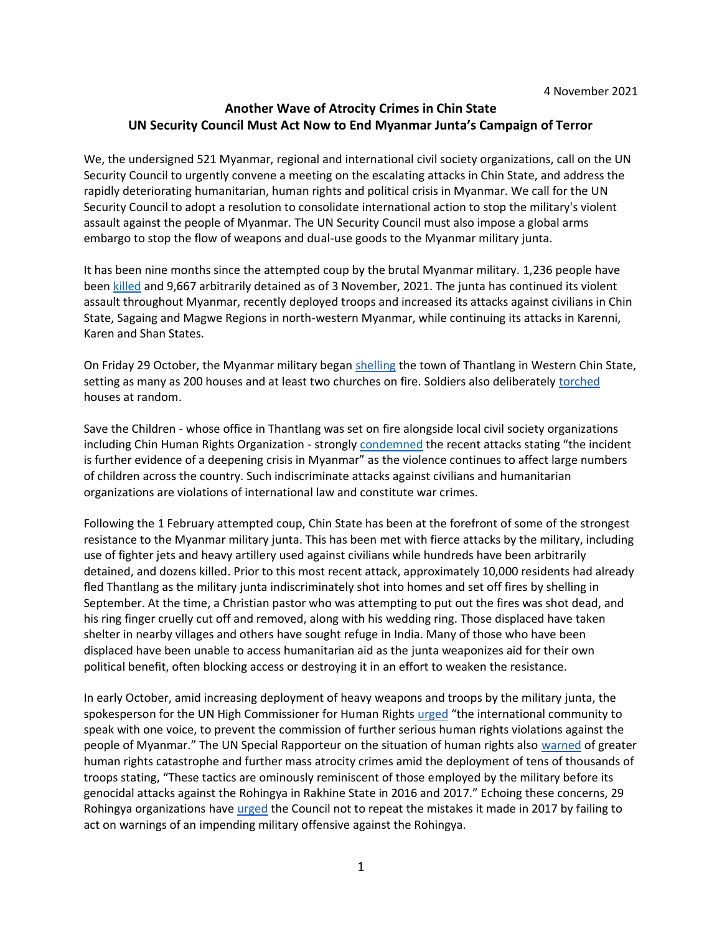## **Another Wave of Atrocity Crimes in Chin State UN Security Council Must Act Now to End Myanmar Junta's Campaign of Terror**

We, the undersigned 521 Myanmar, regional and international civil society organizations, call on the UN Security Council to urgently convene a meeting on the escalating attacks in Chin State, and address the rapidly deteriorating humanitarian, human rights and political crisis in Myanmar. We call for the UN Security Council to adopt a resolution to consolidate international action to stop the military's violent assault against the people of Myanmar. The UN Security Council must also impose a global arms embargo to stop the flow of weapons and dual-use goods to the Myanmar military junta.

It has been nine months since the attempted coup by the brutal Myanmar military. 1,236 people have been [killed](https://aappb.org/?p=18561) and 9,667 arbitrarily detained as of 3 November, 2021. The junta has continued its violent assault throughout Myanmar, recently deployed troops and increased its attacks against civilians in Chin State, Sagaing and Magwe Regions in north-western Myanmar, while continuing its attacks in Karenni, Karen and Shan States.

On Friday 29 October, the Myanmar military bega[n shelling](https://www.washingtonpost.com/world/army-shelling-in-myanmar-blamed-for-setting-160-homes-ablaze/2021/10/30/c4367de0-397a-11ec-9662-399cfa75efee_story.html) the town of Thantlang in Western Chin State, setting as many as 200 houses and at least two churches on fire. Soldiers also deliberately [torched](http://v/) houses at random.

Save the Children - whose office in Thantlang was set on fire alongside local civil society organizations including Chin Human Rights Organization - strongly [condemned](https://www.savethechildren.net/news/myanmar-save-children-office-destroyed-fire-amid-violent-clashes) the recent attacks stating "the incident is further evidence of a deepening crisis in Myanmar" as the violence continues to affect large numbers of children across the country. Such indiscriminate attacks against civilians and humanitarian organizations are violations of international law and constitute war crimes.

Following the 1 February attempted coup, Chin State has been at the forefront of some of the strongest resistance to the Myanmar military junta. This has been met with fierce attacks by the military, including use of fighter jets and heavy artillery used against civilians while hundreds have been arbitrarily detained, and dozens killed. Prior to this most recent attack, approximately 10,000 residents had already fled Thantlang as the military junta indiscriminately shot into homes and set off fires by shelling in September. At the time, a Christian pastor who was attempting to put out the fires was shot dead, and his ring finger cruelly cut off and removed, along with his wedding ring. Those displaced have taken shelter in nearby villages and others have sought refuge in India. Many of those who have been displaced have been unable to access humanitarian aid as the junta weaponizes aid for their own political benefit, often blocking access or destroying it in an effort to weaken the resistance.

In early October, amid increasing deployment of heavy weapons and troops by the military junta, the spokesperson for the UN High Commissioner for Human Rights [urged](https://www.ohchr.org/en/NewsEvents/Pages/DisplayNews.aspx?NewsID=27631&LangID=E) "the international community to speak with one voice, to prevent the commission of further serious human rights violations against the people of Myanmar." The UN Special Rapporteur on the situation of human rights also [warned](https://www.ohchr.org/EN/NewsEvents/Pages/DisplayNews.aspx?LangID=E&NewsID=27693) of greater human rights catastrophe and further mass atrocity crimes amid the deployment of tens of thousands of troops stating, "These tactics are ominously reminiscent of those employed by the military before its genocidal attacks against the Rohingya in Rakhine State in 2016 and 2017." Echoing these concerns, 29 Rohingya organizations have [urged](https://www.brouk.org.uk/rohingya-cautions-un-security-council-over-chin-crisis-do-not-repeat-mistake-in-failing-to-act/) the Council not to repeat the mistakes it made in 2017 by failing to act on warnings of an impending military offensive against the Rohingya.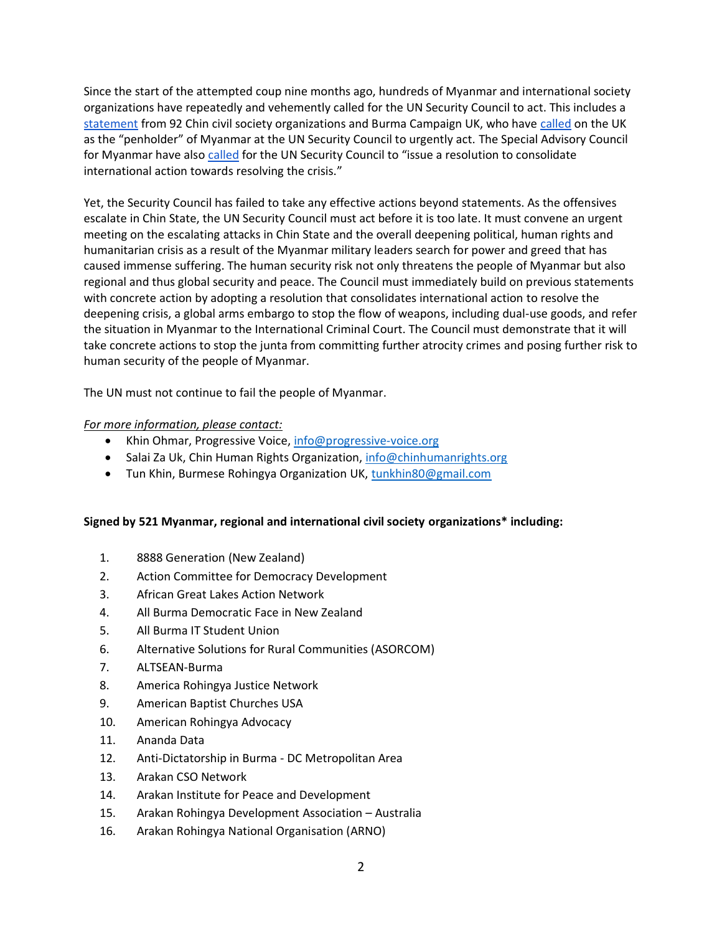Since the start of the attempted coup nine months ago, hundreds of Myanmar and international society organizations have repeatedly and vehemently called for the UN Security Council to act. This includes a [statement](https://mailchi.mp/chro.ca/press-statement-un-security-council-urgently-convene-a-meeting-on-the-escalating-military-attacks-and-troop-build-up-in-chin-state-western-burma?e=89d0a5e09f) from 92 Chin civil society organizations and Burma Campaign UK, who have [called](https://burmacampaign.org.uk/unsc-must-meet-regarding-north-western-burma-crisis/) on the UK as the "penholder" of Myanmar at the UN Security Council to urgently act. The Special Advisory Council for Myanmar have als[o called](https://specialadvisorycouncil.org/2021/10/we-will-either-die-of-starvation-or-die-fighting-un-security-council-must-act-on-myanmar/) for the UN Security Council to "issue a resolution to consolidate international action towards resolving the crisis."

Yet, the Security Council has failed to take any effective actions beyond statements. As the offensives escalate in Chin State, the UN Security Council must act before it is too late. It must convene an urgent meeting on the escalating attacks in Chin State and the overall deepening political, human rights and humanitarian crisis as a result of the Myanmar military leaders search for power and greed that has caused immense suffering. The human security risk not only threatens the people of Myanmar but also regional and thus global security and peace. The Council must immediately build on previous statements with concrete action by adopting a resolution that consolidates international action to resolve the deepening crisis, a global arms embargo to stop the flow of weapons, including dual-use goods, and refer the situation in Myanmar to the International Criminal Court. The Council must demonstrate that it will take concrete actions to stop the junta from committing further atrocity crimes and posing further risk to human security of the people of Myanmar.

The UN must not continue to fail the people of Myanmar.

## *For more information, please contact:*

- Khin Ohmar, Progressive Voice, [info@progressive-voice.org](mailto:info@progressive-voice.org)
- Salai Za Uk, Chin Human Rights Organization, [info@chinhumanrights.org](mailto:info@chinhumanrights.org)
- Tun Khin, Burmese Rohingya Organization UK, [tunkhin80@gmail.com](mailto:tunkhin80@gmail.com)

## **Signed by 521 Myanmar, regional and international civil society organizations\* including:**

- 1. 8888 Generation (New Zealand)
- 2. Action Committee for Democracy Development
- 3. African Great Lakes Action Network
- 4. All Burma Democratic Face in New Zealand
- 5. All Burma IT Student Union
- 6. Alternative Solutions for Rural Communities (ASORCOM)
- 7. ALTSEAN-Burma
- 8. America Rohingya Justice Network
- 9. American Baptist Churches USA
- 10. American Rohingya Advocacy
- 11. Ananda Data
- 12. Anti-Dictatorship in Burma DC Metropolitan Area
- 13. Arakan CSO Network
- 14. Arakan Institute for Peace and Development
- 15. Arakan Rohingya Development Association Australia
- 16. Arakan Rohingya National Organisation (ARNO)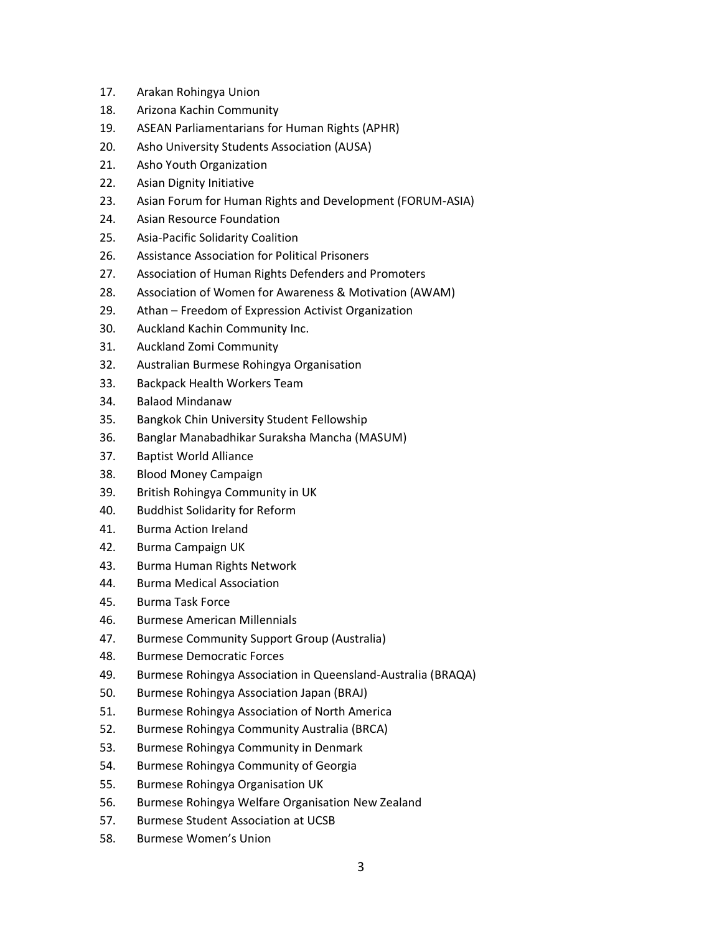- 17. Arakan Rohingya Union
- 18. Arizona Kachin Community
- 19. ASEAN Parliamentarians for Human Rights (APHR)
- 20. Asho University Students Association (AUSA)
- 21. Asho Youth Organization
- 22. Asian Dignity Initiative
- 23. Asian Forum for Human Rights and Development (FORUM-ASIA)
- 24. Asian Resource Foundation
- 25. Asia-Pacific Solidarity Coalition
- 26. Assistance Association for Political Prisoners
- 27. Association of Human Rights Defenders and Promoters
- 28. Association of Women for Awareness & Motivation (AWAM)
- 29. Athan Freedom of Expression Activist Organization
- 30. Auckland Kachin Community Inc.
- 31. Auckland Zomi Community
- 32. Australian Burmese Rohingya Organisation
- 33. Backpack Health Workers Team
- 34. Balaod Mindanaw
- 35. Bangkok Chin University Student Fellowship
- 36. Banglar Manabadhikar Suraksha Mancha (MASUM)
- 37. Baptist World Alliance
- 38. Blood Money Campaign
- 39. British Rohingya Community in UK
- 40. Buddhist Solidarity for Reform
- 41. Burma Action Ireland
- 42. Burma Campaign UK
- 43. Burma Human Rights Network
- 44. Burma Medical Association
- 45. Burma Task Force
- 46. Burmese American Millennials
- 47. Burmese Community Support Group (Australia)
- 48. Burmese Democratic Forces
- 49. Burmese Rohingya Association in Queensland-Australia (BRAQA)
- 50. Burmese Rohingya Association Japan (BRAJ)
- 51. Burmese Rohingya Association of North America
- 52. Burmese Rohingya Community Australia (BRCA)
- 53. Burmese Rohingya Community in Denmark
- 54. Burmese Rohingya Community of Georgia
- 55. Burmese Rohingya Organisation UK
- 56. Burmese Rohingya Welfare Organisation New Zealand
- 57. Burmese Student Association at UCSB
- 58. Burmese Women's Union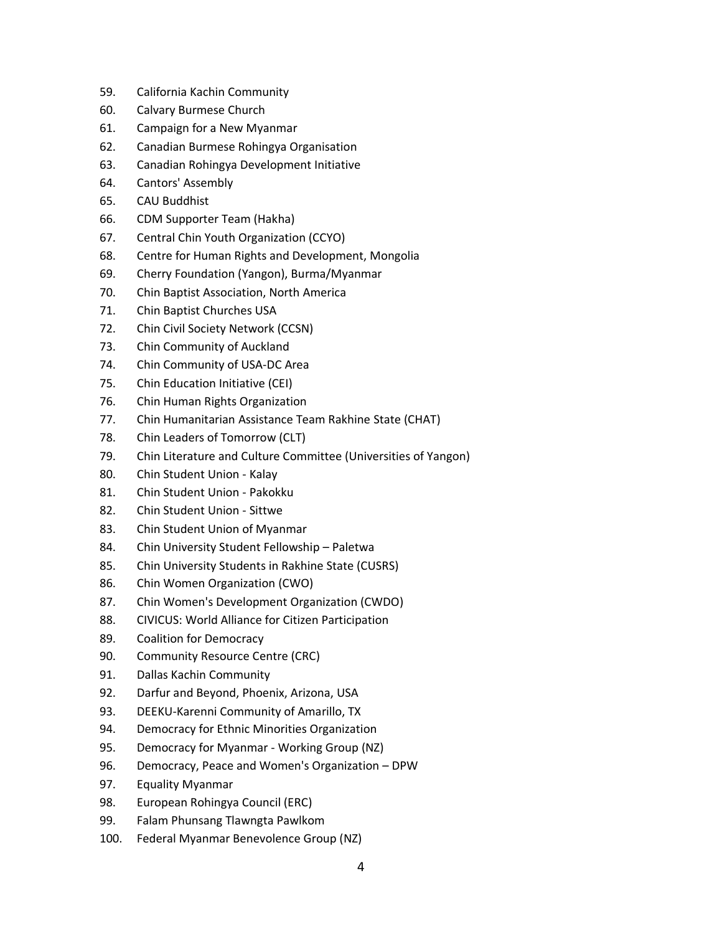- 59. California Kachin Community
- 60. Calvary Burmese Church
- 61. Campaign for a New Myanmar
- 62. Canadian Burmese Rohingya Organisation
- 63. Canadian Rohingya Development Initiative
- 64. Cantors' Assembly
- 65. CAU Buddhist
- 66. CDM Supporter Team (Hakha)
- 67. Central Chin Youth Organization (CCYO)
- 68. Centre for Human Rights and Development, Mongolia
- 69. Cherry Foundation (Yangon), Burma/Myanmar
- 70. Chin Baptist Association, North America
- 71. Chin Baptist Churches USA
- 72. Chin Civil Society Network (CCSN)
- 73. Chin Community of Auckland
- 74. Chin Community of USA-DC Area
- 75. Chin Education Initiative (CEI)
- 76. Chin Human Rights Organization
- 77. Chin Humanitarian Assistance Team Rakhine State (CHAT)
- 78. Chin Leaders of Tomorrow (CLT)
- 79. Chin Literature and Culture Committee (Universities of Yangon)
- 80. Chin Student Union Kalay
- 81. Chin Student Union Pakokku
- 82. Chin Student Union Sittwe
- 83. Chin Student Union of Myanmar
- 84. Chin University Student Fellowship Paletwa
- 85. Chin University Students in Rakhine State (CUSRS)
- 86. Chin Women Organization (CWO)
- 87. Chin Women's Development Organization (CWDO)
- 88. CIVICUS: World Alliance for Citizen Participation
- 89. Coalition for Democracy
- 90. Community Resource Centre (CRC)
- 91. Dallas Kachin Community
- 92. Darfur and Beyond, Phoenix, Arizona, USA
- 93. DEEKU-Karenni Community of Amarillo, TX
- 94. Democracy for Ethnic Minorities Organization
- 95. Democracy for Myanmar Working Group (NZ)
- 96. Democracy, Peace and Women's Organization DPW
- 97. Equality Myanmar
- 98. European Rohingya Council (ERC)
- 99. Falam Phunsang Tlawngta Pawlkom
- 100. Federal Myanmar Benevolence Group (NZ)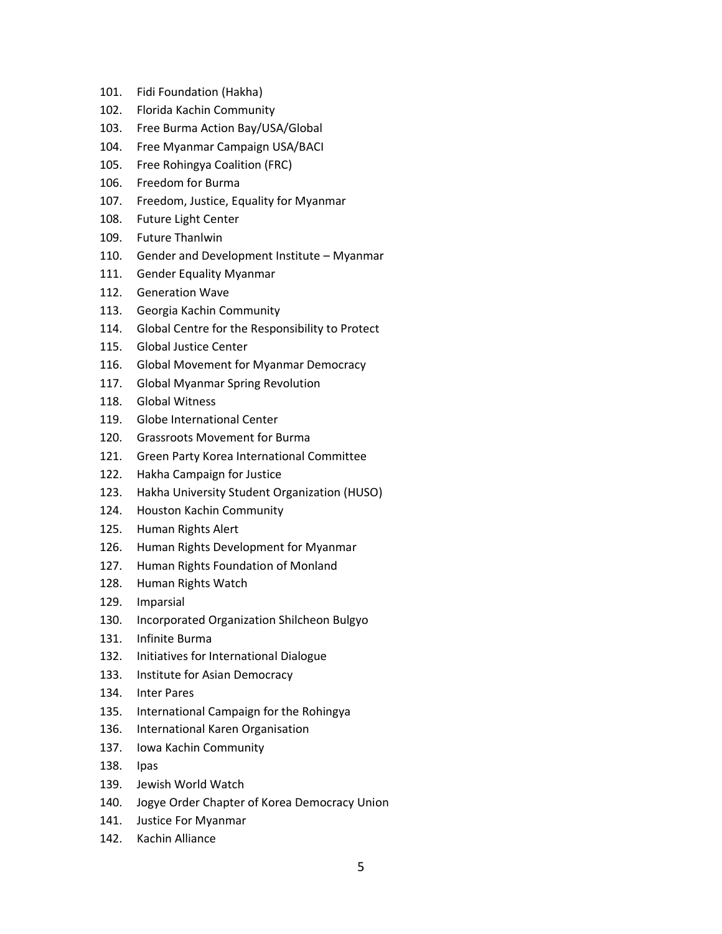- 101. Fidi Foundation (Hakha)
- 102. Florida Kachin Community
- 103. Free Burma Action Bay/USA/Global
- 104. Free Myanmar Campaign USA/BACI
- 105. Free Rohingya Coalition (FRC)
- 106. Freedom for Burma
- 107. Freedom, Justice, Equality for Myanmar
- 108. Future Light Center
- 109. Future Thanlwin
- 110. Gender and Development Institute Myanmar
- 111. Gender Equality Myanmar
- 112. Generation Wave
- 113. Georgia Kachin Community
- 114. Global Centre for the Responsibility to Protect
- 115. Global Justice Center
- 116. Global Movement for Myanmar Democracy
- 117. Global Myanmar Spring Revolution
- 118. Global Witness
- 119. Globe International Center
- 120. Grassroots Movement for Burma
- 121. Green Party Korea International Committee
- 122. Hakha Campaign for Justice
- 123. Hakha University Student Organization (HUSO)
- 124. Houston Kachin Community
- 125. Human Rights Alert
- 126. Human Rights Development for Myanmar
- 127. Human Rights Foundation of Monland
- 128. Human Rights Watch
- 129. Imparsial
- 130. Incorporated Organization Shilcheon Bulgyo
- 131. Infinite Burma
- 132. Initiatives for International Dialogue
- 133. Institute for Asian Democracy
- 134. Inter Pares
- 135. International Campaign for the Rohingya
- 136. International Karen Organisation
- 137. Iowa Kachin Community
- 138. Ipas
- 139. Jewish World Watch
- 140. Jogye Order Chapter of Korea Democracy Union
- 141. Justice For Myanmar
- 142. Kachin Alliance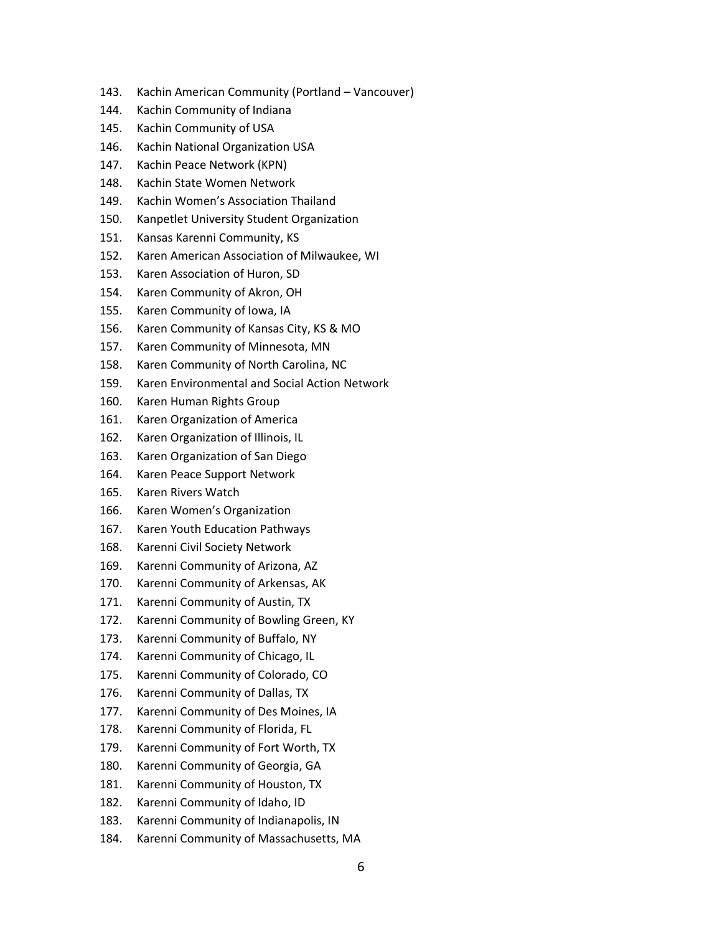- 143. Kachin American Community (Portland Vancouver)
- 144. Kachin Community of Indiana
- 145. Kachin Community of USA
- 146. Kachin National Organization USA
- 147. Kachin Peace Network (KPN)
- 148. Kachin State Women Network
- 149. Kachin Women's Association Thailand
- 150. Kanpetlet University Student Organization
- 151. Kansas Karenni Community, KS
- 152. Karen American Association of Milwaukee, WI
- 153. Karen Association of Huron, SD
- 154. Karen Community of Akron, OH
- 155. Karen Community of Iowa, IA
- 156. Karen Community of Kansas City, KS & MO
- 157. Karen Community of Minnesota, MN
- 158. Karen Community of North Carolina, NC
- 159. Karen Environmental and Social Action Network
- 160. Karen Human Rights Group
- 161. Karen Organization of America
- 162. Karen Organization of Illinois, IL
- 163. Karen Organization of San Diego
- 164. Karen Peace Support Network
- 165. Karen Rivers Watch
- 166. Karen Women's Organization
- 167. Karen Youth Education Pathways
- 168. Karenni Civil Society Network
- 169. Karenni Community of Arizona, AZ
- 170. Karenni Community of Arkensas, AK
- 171. Karenni Community of Austin, TX
- 172. Karenni Community of Bowling Green, KY
- 173. Karenni Community of Buffalo, NY
- 174. Karenni Community of Chicago, IL
- 175. Karenni Community of Colorado, CO
- 176. Karenni Community of Dallas, TX
- 177. Karenni Community of Des Moines, IA
- 178. Karenni Community of Florida, FL
- 179. Karenni Community of Fort Worth, TX
- 180. Karenni Community of Georgia, GA
- 181. Karenni Community of Houston, TX
- 182. Karenni Community of Idaho, ID
- 183. Karenni Community of Indianapolis, IN
- 184. Karenni Community of Massachusetts, MA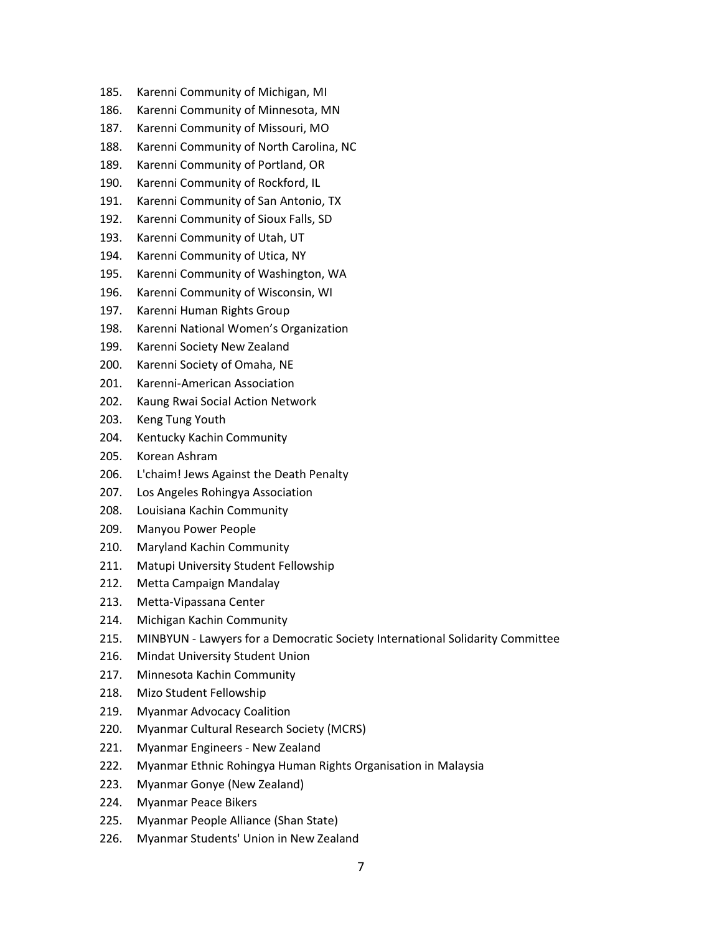- 185. Karenni Community of Michigan, MI
- 186. Karenni Community of Minnesota, MN
- 187. Karenni Community of Missouri, MO
- 188. Karenni Community of North Carolina, NC
- 189. Karenni Community of Portland, OR
- 190. Karenni Community of Rockford, IL
- 191. Karenni Community of San Antonio, TX
- 192. Karenni Community of Sioux Falls, SD
- 193. Karenni Community of Utah, UT
- 194. Karenni Community of Utica, NY
- 195. Karenni Community of Washington, WA
- 196. Karenni Community of Wisconsin, WI
- 197. Karenni Human Rights Group
- 198. Karenni National Women's Organization
- 199. Karenni Society New Zealand
- 200. Karenni Society of Omaha, NE
- 201. Karenni-American Association
- 202. Kaung Rwai Social Action Network
- 203. Keng Tung Youth
- 204. Kentucky Kachin Community
- 205. Korean Ashram
- 206. L'chaim! Jews Against the Death Penalty
- 207. Los Angeles Rohingya Association
- 208. Louisiana Kachin Community
- 209. Manyou Power People
- 210. Maryland Kachin Community
- 211. Matupi University Student Fellowship
- 212. Metta Campaign Mandalay
- 213. Metta-Vipassana Center
- 214. Michigan Kachin Community
- 215. MINBYUN Lawyers for a Democratic Society International Solidarity Committee
- 216. Mindat University Student Union
- 217. Minnesota Kachin Community
- 218. Mizo Student Fellowship
- 219. Myanmar Advocacy Coalition
- 220. Myanmar Cultural Research Society (MCRS)
- 221. Myanmar Engineers New Zealand
- 222. Myanmar Ethnic Rohingya Human Rights Organisation in Malaysia
- 223. Myanmar Gonye (New Zealand)
- 224. Myanmar Peace Bikers
- 225. Myanmar People Alliance (Shan State)
- 226. Myanmar Students' Union in New Zealand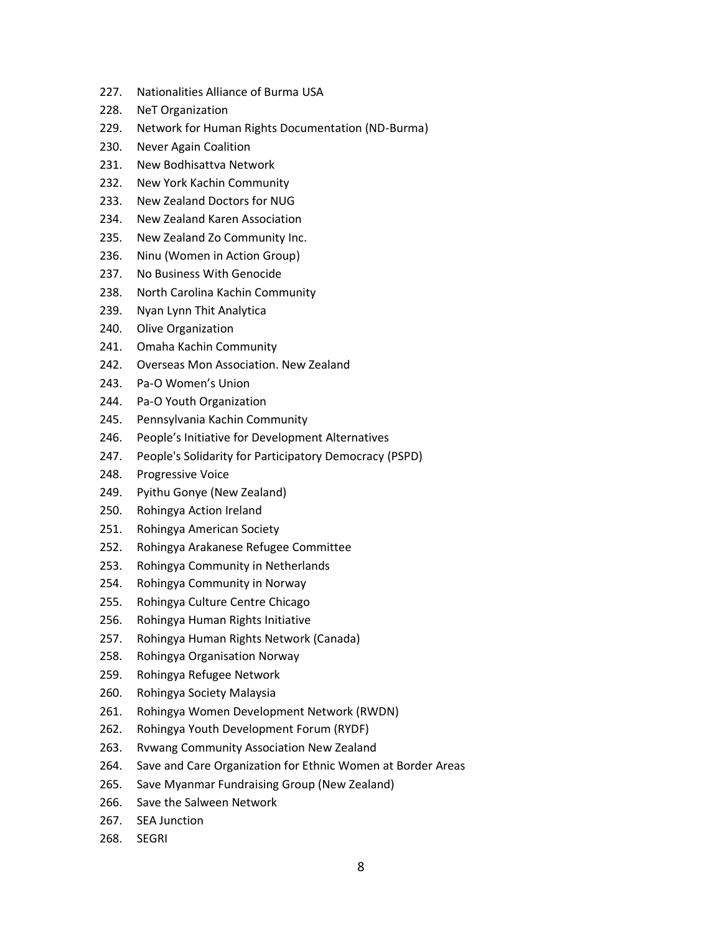- 227. Nationalities Alliance of Burma USA
- 228. NeT Organization
- 229. Network for Human Rights Documentation (ND-Burma)
- 230. Never Again Coalition
- 231. New Bodhisattva Network
- 232. New York Kachin Community
- 233. New Zealand Doctors for NUG
- 234. New Zealand Karen Association
- 235. New Zealand Zo Community Inc.
- 236. Ninu (Women in Action Group)
- 237. No Business With Genocide
- 238. North Carolina Kachin Community
- 239. Nyan Lynn Thit Analytica
- 240. Olive Organization
- 241. Omaha Kachin Community
- 242. Overseas Mon Association. New Zealand
- 243. Pa-O Women's Union
- 244. Pa-O Youth Organization
- 245. Pennsylvania Kachin Community
- 246. People's Initiative for Development Alternatives
- 247. People's Solidarity for Participatory Democracy (PSPD)
- 248. Progressive Voice
- 249. Pyithu Gonye (New Zealand)
- 250. Rohingya Action Ireland
- 251. Rohingya American Society
- 252. Rohingya Arakanese Refugee Committee
- 253. Rohingya Community in Netherlands
- 254. Rohingya Community in Norway
- 255. Rohingya Culture Centre Chicago
- 256. Rohingya Human Rights Initiative
- 257. Rohingya Human Rights Network (Canada)
- 258. Rohingya Organisation Norway
- 259. Rohingya Refugee Network
- 260. Rohingya Society Malaysia
- 261. Rohingya Women Development Network (RWDN)
- 262. Rohingya Youth Development Forum (RYDF)
- 263. Rvwang Community Association New Zealand
- 264. Save and Care Organization for Ethnic Women at Border Areas
- 265. Save Myanmar Fundraising Group (New Zealand)
- 266. Save the Salween Network
- 267. SEA Junction
- 268. SEGRI